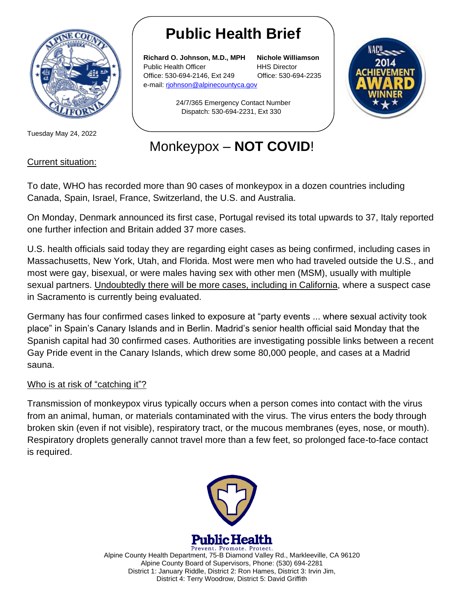

Tuesday May 24, 2022

# **Public Health Brief**

**Richard O. Johnson, M.D., MPH Nichole Williamson** Public Health Officer **HHS Director** Office: 530-694-2146, Ext 249 Office: 530-694-2235 e-mail: [rjohnson@alpinecountyca.gov](mailto:rjohnson@alpinecountyca.gov) 

24/7/365 Emergency Contact Number Dispatch: 530-694-2231, Ext 330



# Monkeypox – **NOT COVID**!

### Current situation:

To date, WHO has recorded more than 90 cases of monkeypox in a dozen countries including Canada, Spain, Israel, France, Switzerland, the U.S. and Australia.

On Monday, Denmark announced its first case, Portugal revised its total upwards to 37, Italy reported one further infection and Britain added 37 more cases.

U.S. health officials said today they are regarding eight cases as being confirmed, including cases in Massachusetts, New York, Utah, and Florida. Most were men who had traveled outside the U.S., and most were gay, bisexual, or were males having sex with other men (MSM), usually with multiple sexual partners. Undoubtedly there will be more cases, including in California, where a suspect case in Sacramento is currently being evaluated.

Germany has four confirmed cases linked to exposure at "party events ... where sexual activity took place" in Spain's Canary Islands and in Berlin. Madrid's senior health official said Monday that the Spanish capital had 30 confirmed cases. Authorities are investigating possible links between a recent Gay Pride event in the Canary Islands, which drew some 80,000 people, and cases at a Madrid sauna.

## Who is at risk of "catching it"?

Transmission of monkeypox virus typically occurs when a person comes into contact with the virus from an animal, human, or materials contaminated with the virus. The virus enters the body through broken skin (even if not visible), respiratory tract, or the mucous membranes (eyes, nose, or mouth). Respiratory droplets generally cannot travel more than a few feet, so prolonged face-to-face contact is required.



Prevent. Promote. Protect. Alpine County Health Department, 75-B Diamond Valley Rd., Markleeville, CA 96120 Alpine County Board of Supervisors, Phone: (530) 694-2281 District 1: January Riddle, District 2: Ron Hames, District 3: Irvin Jim, District 4: Terry Woodrow, District 5: David Griffith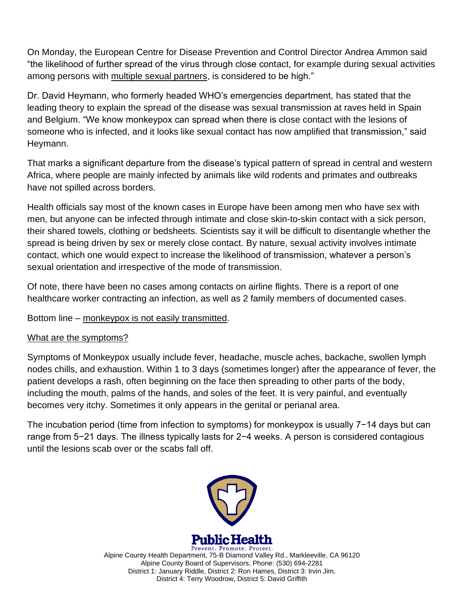On Monday, the European Centre for Disease Prevention and Control Director Andrea Ammon said "the likelihood of further spread of the virus through close contact, for example during sexual activities among persons with multiple sexual partners, is considered to be high."

Dr. David Heymann, who formerly headed WHO's emergencies department, has stated that the leading theory to explain the spread of the disease was sexual transmission at raves held in Spain and Belgium. "We know monkeypox can spread when there is close contact with the lesions of someone who is infected, and it looks like sexual contact has now amplified that transmission," said Heymann.

That marks a significant departure from the disease's typical pattern of spread in central and western Africa, where people are mainly infected by animals like wild rodents and primates and outbreaks have not spilled across borders.

Health officials say most of the known cases in Europe have been among men who have sex with men, but anyone can be infected through intimate and close skin-to-skin contact with a sick person, their shared towels, clothing or bedsheets. Scientists say it will be difficult to disentangle whether the spread is being driven by sex or merely close contact. By nature, sexual activity involves intimate contact, which one would expect to increase the likelihood of transmission, whatever a person's sexual orientation and irrespective of the mode of transmission.

Of note, there have been no cases among contacts on airline flights. There is a report of one healthcare worker contracting an infection, as well as 2 family members of documented cases.

Bottom line – monkeypox is not easily transmitted.

#### What are the symptoms?

Symptoms of Monkeypox usually include fever, headache, muscle aches, backache, swollen lymph nodes chills, and exhaustion. Within 1 to 3 days (sometimes longer) after the appearance of fever, the patient develops a rash, often beginning on the face then spreading to other parts of the body, including the mouth, palms of the hands, and soles of the feet. It is very painful, and eventually becomes very itchy. Sometimes it only appears in the genital or perianal area.

The incubation period (time from infection to symptoms) for monkeypox is usually 7−14 days but can range from 5−21 days. The illness typically lasts for 2−4 weeks. A person is considered contagious until the lesions scab over or the scabs fall off.



Prevent. Promote. Protect. Alpine County Health Department, 75-B Diamond Valley Rd., Markleeville, CA 96120 Alpine County Board of Supervisors, Phone: (530) 694-2281 District 1: January Riddle, District 2: Ron Hames, District 3: Irvin Jim, District 4: Terry Woodrow, District 5: David Griffith